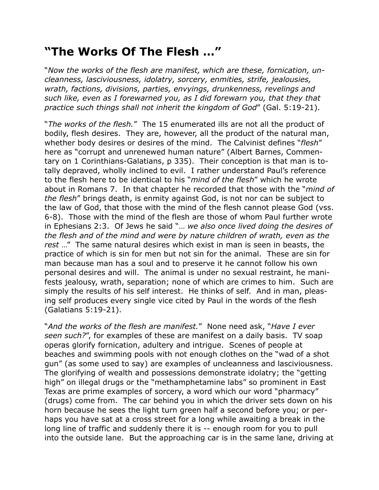## **"The Works Of The Flesh …"**

"*Now the works of the flesh are manifest, which are these, fornication, uncleanness, lasciviousness, idolatry, sorcery, enmities, strife, jealousies, wrath, factions, divisions, parties, envyings, drunkenness, revelings and such like, even as I forewarned you, as I did forewarn you, that they that practice such things shall not inherit the kingdom of God*" (Gal. 5:19-21).

"*The works of the flesh.*" The 15 enumerated ills are not all the product of bodily, flesh desires. They are, however, all the product of the natural man, whether body desires or desires of the mind. The Calvinist defines "*flesh*" here as "corrupt and unrenewed human nature" (Albert Barnes, Commentary on 1 Corinthians-Galatians, p 335). Their conception is that man is totally depraved, wholly inclined to evil. I rather understand Paul's reference to the flesh here to be identical to his "*mind of the flesh*" which he wrote about in Romans 7. In that chapter he recorded that those with the "*mind of the flesh*" brings death, is enmity against God, is not nor can be subject to the law of God, that those with the mind of the flesh cannot please God (vss. 6-8). Those with the mind of the flesh are those of whom Paul further wrote in Ephesians 2:3. Of Jews he said "… *we also once lived doing the desires of the flesh and of the mind and were by nature children of wrath, even as the rest* …" The same natural desires which exist in man is seen in beasts, the practice of which is sin for men but not sin for the animal. These are sin for man because man has a soul and to preserve it he cannot follow his own personal desires and will. The animal is under no sexual restraint, he manifests jealousy, wrath, separation; none of which are crimes to him. Such are simply the results of his self interest. He thinks of self. And in man, pleasing self produces every single vice cited by Paul in the words of the flesh (Galatians 5:19-21).

"*And the works of the flesh are manifest.*" None need ask, "*Have I ever seen such?*", for examples of these are manifest on a daily basis. TV soap operas glorify fornication, adultery and intrigue. Scenes of people at beaches and swimming pools with not enough clothes on the "wad of a shot gun" (as some used to say) are examples of uncleanness and lasciviousness. The glorifying of wealth and possessions demonstrate idolatry; the "getting high" on illegal drugs or the "methamphetamine labs" so prominent in East Texas are prime examples of sorcery, a word which our word "pharmacy" (drugs) come from. The car behind you in which the driver sets down on his horn because he sees the light turn green half a second before you; or perhaps you have sat at a cross street for a long while awaiting a break in the long line of traffic and suddenly there it is -- enough room for you to pull into the outside lane. But the approaching car is in the same lane, driving at